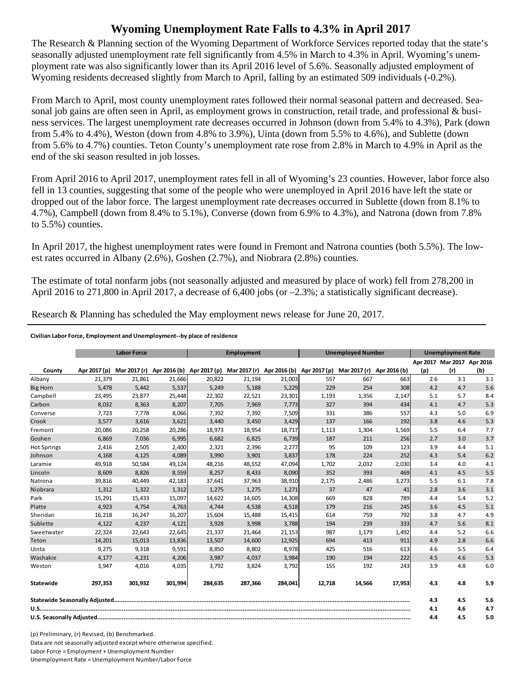## **Wyoming Unemployment Rate Falls to 4.3% in April 2017**

The Research & Planning section of the Wyoming Department of Workforce Services reported today that the state's seasonally adjusted unemployment rate fell significantly from 4.5% in March to 4.3% in April. Wyoming's unemployment rate was also significantly lower than its April 2016 level of 5.6%. Seasonally adjusted employment of Wyoming residents decreased slightly from March to April, falling by an estimated 509 individuals (-0.2%).

From March to April, most county unemployment rates followed their normal seasonal pattern and decreased. Seasonal job gains are often seen in April, as employment grows in construction, retail trade, and professional & business services. The largest unemployment rate decreases occurred in Johnson (down from 5.4% to 4.3%), Park (down from 5.4% to 4.4%), Weston (down from 4.8% to 3.9%), Uinta (down from 5.5% to 4.6%), and Sublette (down from 5.6% to 4.7%) counties. Teton County's unemployment rate rose from 2.8% in March to 4.9% in April as the end of the ski season resulted in job losses.

From April 2016 to April 2017, unemployment rates fell in all of Wyoming's 23 counties. However, labor force also fell in 13 counties, suggesting that some of the people who were unemployed in April 2016 have left the state or dropped out of the labor force. The largest unemployment rate decreases occurred in Sublette (down from 8.1% to 4.7%), Campbell (down from 8.4% to 5.1%), Converse (down from 6.9% to 4.3%), and Natrona (down from 7.8% to 5.5%) counties.

In April 2017, the highest unemployment rates were found in Fremont and Natrona counties (both 5.5%). The lowest rates occurred in Albany (2.6%), Goshen (2.7%), and Niobrara (2.8%) counties.

The estimate of total nonfarm jobs (not seasonally adjusted and measured by place of work) fell from 278,200 in April 2016 to 271,800 in April 2017, a decrease of 6,400 jobs (or  $-2.3\%$ ; a statistically significant decrease).

Research & Planning has scheduled the May employment news release for June 20, 2017.

## **Civilian Labor Force, Employment and Unemployment‐‐by place of residence**

|                    |              | <b>Labor Force</b> |         |                                                                               | <b>Employment</b> |         |        | <b>Unemployed Number</b> |              |     | <b>Unemployment Rate</b>   |     |  |
|--------------------|--------------|--------------------|---------|-------------------------------------------------------------------------------|-------------------|---------|--------|--------------------------|--------------|-----|----------------------------|-----|--|
|                    |              |                    |         |                                                                               |                   |         |        |                          |              |     | Apr 2017 Mar 2017 Apr 2016 |     |  |
| County             | Apr 2017 (p) |                    |         | Mar 2017 (r) Apr 2016 (b) Apr 2017 (p) Mar 2017 (r) Apr 2016 (b) Apr 2017 (p) |                   |         |        | Mar 2017 (r)             | Apr 2016 (b) | (p) | (r)                        | (b) |  |
| Albany             | 21,379       | 21,861             | 21,666  | 20,822                                                                        | 21,194            | 21,003  | 557    | 667                      | 663          | 2.6 | 3.1                        | 3.1 |  |
| <b>Big Horn</b>    | 5,478        | 5,442              | 5,537   | 5,249                                                                         | 5,188             | 5,229   | 229    | 254                      | 308          | 4.2 | 4.7                        | 5.6 |  |
| Campbell           | 23,495       | 23,877             | 25,448  | 22,302                                                                        | 22,521            | 23,301  | 1,193  | 1,356                    | 2,147        | 5.1 | 5.7                        | 8.4 |  |
| Carbon             | 8,032        | 8,363              | 8,207   | 7,705                                                                         | 7,969             | 7,773   | 327    | 394                      | 434          | 4.1 | 4.7                        | 5.3 |  |
| Converse           | 7,723        | 7,778              | 8,066   | 7,392                                                                         | 7,392             | 7,509   | 331    | 386                      | 557          | 4.3 | 5.0                        | 6.9 |  |
| Crook              | 3,577        | 3,616              | 3,621   | 3,440                                                                         | 3,450             | 3,429   | 137    | 166                      | 192          | 3.8 | 4.6                        | 5.3 |  |
| Fremont            | 20,086       | 20,258             | 20,286  | 18,973                                                                        | 18,954            | 18,717  | 1,113  | 1,304                    | 1,569        | 5.5 | 6.4                        | 7.7 |  |
| Goshen             | 6,869        | 7,036              | 6,995   | 6,682                                                                         | 6,825             | 6,739   | 187    | 211                      | 256          | 2.7 | 3.0                        | 3.7 |  |
| <b>Hot Springs</b> | 2,416        | 2,505              | 2,400   | 2,321                                                                         | 2,396             | 2,277   | 95     | 109                      | 123          | 3.9 | 4.4                        | 5.1 |  |
| Johnson            | 4,168        | 4,125              | 4,089   | 3,990                                                                         | 3,901             | 3,837   | 178    | 224                      | 252          | 4.3 | 5.4                        | 6.2 |  |
| Laramie            | 49,918       | 50,584             | 49,124  | 48,216                                                                        | 48,552            | 47,094  | 1,702  | 2,032                    | 2,030        | 3.4 | 4.0                        | 4.1 |  |
| Lincoln            | 8,609        | 8,826              | 8,559   | 8,257                                                                         | 8,433             | 8,090   | 352    | 393                      | 469          | 4.1 | 4.5                        | 5.5 |  |
| Natrona            | 39,816       | 40,449             | 42,183  | 37,641                                                                        | 37,963            | 38,910  | 2,175  | 2,486                    | 3,273        | 5.5 | 6.1                        | 7.8 |  |
| Niobrara           | 1,312        | 1,322              | 1,312   | 1,275                                                                         | 1,275             | 1,271   | 37     | 47                       | 41           | 2.8 | 3.6                        | 3.1 |  |
| Park               | 15,291       | 15,433             | 15,097  | 14,622                                                                        | 14,605            | 14,308  | 669    | 828                      | 789          | 4.4 | 5.4                        | 5.2 |  |
| Platte             | 4,923        | 4,754              | 4,763   | 4,744                                                                         | 4,538             | 4,518   | 179    | 216                      | 245          | 3.6 | 4.5                        | 5.1 |  |
| Sheridan           | 16,218       | 16,247             | 16,207  | 15,604                                                                        | 15,488            | 15,415  | 614    | 759                      | 792          | 3.8 | 4.7                        | 4.9 |  |
| Sublette           | 4,122        | 4,237              | 4,121   | 3,928                                                                         | 3,998             | 3,788   | 194    | 239                      | 333          | 4.7 | 5.6                        | 8.1 |  |
| Sweetwater         | 22,324       | 22,643             | 22,645  | 21,337                                                                        | 21,464            | 21,153  | 987    | 1,179                    | 1,492        | 4.4 | 5.2                        | 6.6 |  |
| Teton              | 14,201       | 15,013             | 13,836  | 13,507                                                                        | 14,600            | 12,925  | 694    | 413                      | 911          | 4.9 | 2.8                        | 6.6 |  |
| Uinta              | 9,275        | 9,318              | 9,591   | 8,850                                                                         | 8,802             | 8,978   | 425    | 516                      | 613          | 4.6 | 5.5                        | 6.4 |  |
| Washakie           | 4,177        | 4,231              | 4,206   | 3,987                                                                         | 4,037             | 3,984   | 190    | 194                      | 222          | 4.5 | 4.6                        | 5.3 |  |
| Weston             | 3,947        | 4,016              | 4,035   | 3,792                                                                         | 3,824             | 3,792   | 155    | 192                      | 243          | 3.9 | 4.8                        | 6.0 |  |
| Statewide          | 297.353      | 301.932            | 301,994 | 284.635                                                                       | 287.366           | 284,041 | 12.718 | 14,566                   | 17,953       | 4.3 | 4.8                        | 5.9 |  |
|                    |              |                    |         |                                                                               |                   |         |        | 4.3                      | 4.5          | 5.6 |                            |     |  |
|                    |              |                    |         |                                                                               |                   |         |        | 4.1                      | 4.6          | 4.7 |                            |     |  |
|                    |              |                    |         |                                                                               |                   |         |        | 4.4                      | 4.5          | 5.0 |                            |     |  |

(p) Preliminary, (r) Revised, (b) Benchmarked. Data are not seasonally adjusted except where otherwise specified. Labor Force = Employment + Unemployment Number Unemployment Rate = Unemployment Number/Labor Force